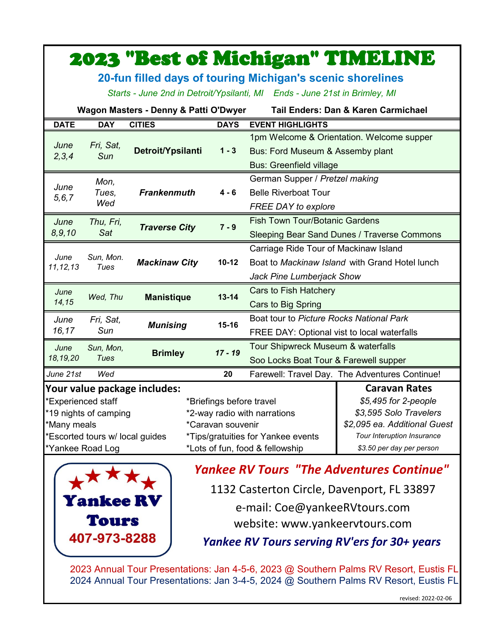|                                                                                  |                                 |                      |                                    |                                                | <b>2023 "Best of Michigan" TIMELINE</b>        |  |  |  |  |
|----------------------------------------------------------------------------------|---------------------------------|----------------------|------------------------------------|------------------------------------------------|------------------------------------------------|--|--|--|--|
| 20-fun filled days of touring Michigan's scenic shorelines                       |                                 |                      |                                    |                                                |                                                |  |  |  |  |
| Starts - June 2nd in Detroit/Ypsilanti, MI Ends - June 21st in Brimley, MI       |                                 |                      |                                    |                                                |                                                |  |  |  |  |
| Wagon Masters - Denny & Patti O'Dwyer<br>Tail Enders: Dan & Karen Carmichael     |                                 |                      |                                    |                                                |                                                |  |  |  |  |
| <b>DATE</b>                                                                      | <b>DAY</b>                      | <b>CITIES</b>        | <b>DAYS</b>                        | <b>EVENT HIGHLIGHTS</b>                        |                                                |  |  |  |  |
| June<br>2, 3, 4                                                                  | Fri, Sat,<br>Sun                |                      |                                    | 1pm Welcome & Orientation. Welcome supper      |                                                |  |  |  |  |
|                                                                                  |                                 | Detroit/Ypsilanti    | $1 - 3$                            | Bus: Ford Museum & Assemby plant               |                                                |  |  |  |  |
|                                                                                  |                                 |                      |                                    | <b>Bus: Greenfield village</b>                 |                                                |  |  |  |  |
| June<br>5, 6, 7                                                                  | Mon,<br>Tues.<br>Wed            |                      |                                    | German Supper / Pretzel making                 |                                                |  |  |  |  |
|                                                                                  |                                 | <b>Frankenmuth</b>   | 4 - 6                              | <b>Belle Riverboat Tour</b>                    |                                                |  |  |  |  |
|                                                                                  |                                 |                      |                                    | <b>FREE DAY to explore</b>                     |                                                |  |  |  |  |
| June                                                                             | Thu, Fri,                       | <b>Traverse City</b> | $7 - 9$                            | <b>Fish Town Tour/Botanic Gardens</b>          |                                                |  |  |  |  |
| 8, 9, 10                                                                         | Sat                             |                      |                                    | Sleeping Bear Sand Dunes / Traverse Commons    |                                                |  |  |  |  |
| June<br>11, 12, 13                                                               | Sun, Mon.<br>Tues               |                      |                                    | Carriage Ride Tour of Mackinaw Island          |                                                |  |  |  |  |
|                                                                                  |                                 | <b>Mackinaw City</b> | $10 - 12$                          | Boat to Mackinaw Island with Grand Hotel lunch |                                                |  |  |  |  |
|                                                                                  |                                 |                      |                                    | Jack Pine Lumberjack Show                      |                                                |  |  |  |  |
| June                                                                             | Wed, Thu                        | <b>Manistique</b>    | $13 - 14$                          | Cars to Fish Hatchery                          |                                                |  |  |  |  |
| 14,15                                                                            |                                 |                      |                                    | Cars to Big Spring                             |                                                |  |  |  |  |
| June                                                                             | Fri, Sat,<br>Sun                | <b>Munising</b>      | $15 - 16$                          | Boat tour to Picture Rocks National Park       |                                                |  |  |  |  |
| 16,17                                                                            |                                 |                      |                                    | FREE DAY: Optional vist to local waterfalls    |                                                |  |  |  |  |
| June                                                                             | Sun, Mon,                       | <b>Brimley</b>       | $17 - 19$                          | Tour Shipwreck Museum & waterfalls             |                                                |  |  |  |  |
| 18,19,20<br>Tues                                                                 |                                 |                      |                                    | Soo Locks Boat Tour & Farewell supper          |                                                |  |  |  |  |
| June 21st                                                                        | Wed                             |                      | 20                                 |                                                | Farewell: Travel Day. The Adventures Continue! |  |  |  |  |
| Your value package includes:<br><b>Caravan Rates</b>                             |                                 |                      |                                    |                                                |                                                |  |  |  |  |
| *Experienced staff<br>*Briefings before travel                                   |                                 |                      |                                    |                                                | \$5,495 for 2-people                           |  |  |  |  |
| *19 nights of camping<br>*2-way radio with narrations                            |                                 |                      |                                    |                                                | \$3,595 Solo Travelers                         |  |  |  |  |
| *Many meals                                                                      |                                 |                      | *Caravan souvenir                  |                                                | \$2,095 ea. Additional Guest                   |  |  |  |  |
|                                                                                  | *Escorted tours w/ local guides |                      | *Tips/gratuities for Yankee events | Tour Interuption Insurance                     |                                                |  |  |  |  |
| *Yankee Road Log<br>*Lots of fun, food & fellowship<br>\$3.50 per day per person |                                 |                      |                                    |                                                |                                                |  |  |  |  |



*Yankee RV Tours "The Adventures Continue"* 

1132 Casterton Circle, Davenport, FL 33897

e-mail: Coe@yankeeRVtours.com

website: www.yankeervtours.com

*Yankee RV Tours serving RV'ers for 30+ years*

2023 Annual Tour Presentations: Jan 4-5-6, 2023 @ Southern Palms RV Resort, Eustis FL 2024 Annual Tour Presentations: Jan 3-4-5, 2024 @ Southern Palms RV Resort, Eustis FL

revised: 2022-02-06